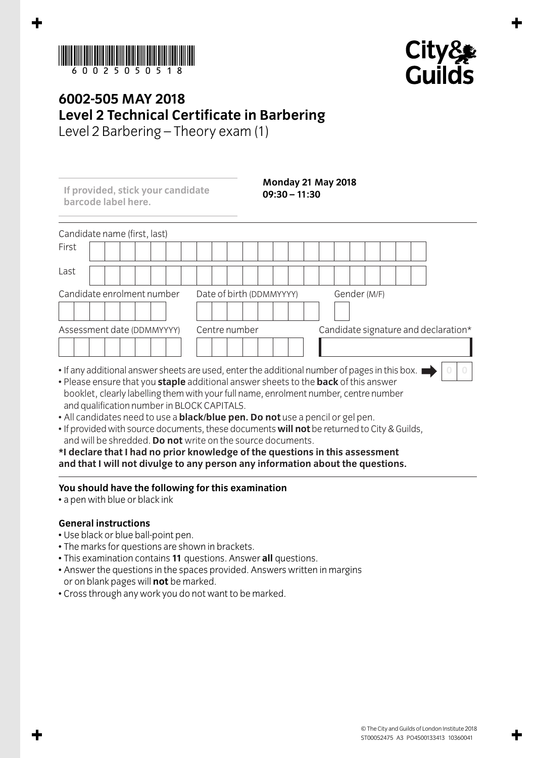



## **6002-505 MAY 2018 Level 2 Technical Certificate in Barbering**

Level 2 Barbering – Theory exam (1)

**If provided, stick your candidate barcode label here.**

**Monday 21 May 2018 09:30 – 11:30**

| Candidate name (first, last)                                                                  |                          |                                      |  |
|-----------------------------------------------------------------------------------------------|--------------------------|--------------------------------------|--|
| First                                                                                         |                          |                                      |  |
| Last                                                                                          |                          |                                      |  |
| Candidate enrolment number                                                                    | Date of birth (DDMMYYYY) | Gender (M/F)                         |  |
| Assessment date (DDMMYYYY)                                                                    | Centre number            | Candidate signature and declaration* |  |
| • If any additional answer sheets are used, enter the additional number of pages in this box. |                          |                                      |  |

- If any additional answer sheets are used, enter the additional number of pages in this box.
- Please ensure that you **staple** additional answer sheets to the **back** of this answer booklet, clearly labelling them with your full name, enrolment number, centre number and qualification number in BLOCK CAPITALS.
- All candidates need to use a **black/blue pen. Do not** use a pencil or gel pen.
- If provided with source documents, these documents **will not** be returned to City & Guilds, and will be shredded. **Do not** write on the source documents.

**\*I declare that I had no prior knowledge of the questions in this assessment and that I will not divulge to any person any information about the questions.**

## **You should have the following for this examination**

• a pen with blue or black ink

## **General instructions**

- Use black or blue ball-point pen.
- The marks for questions are shown in brackets.
- This examination contains **11** questions. Answer **all** questions.
- Answer the questions in the spaces provided. Answers written in margins or on blank pages will **not** be marked.
- Cross through any work you do not want to be marked.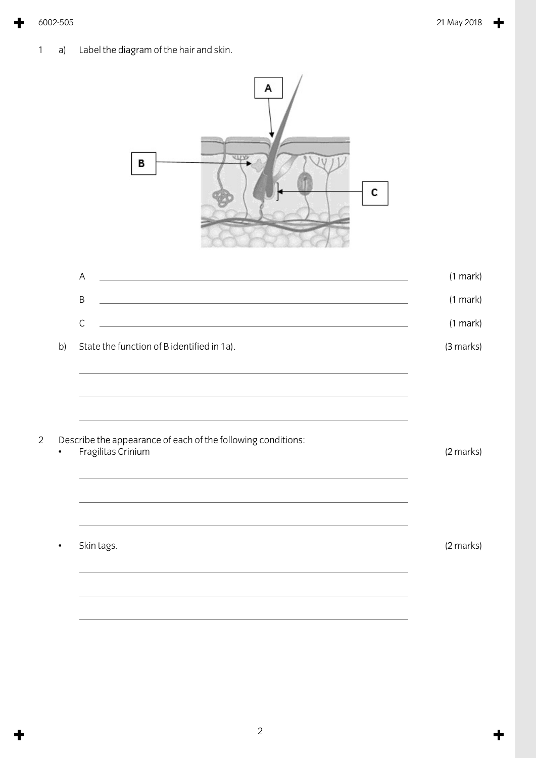1 a) Label the diagram of the hair and skin.



2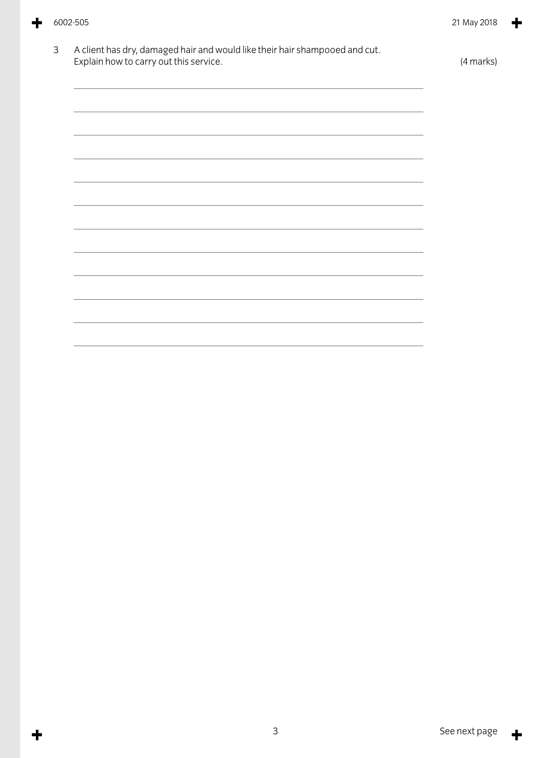╈

╈

| Explain how to carry out this service.                                                                                                                                                                                        | (4 marks) |
|-------------------------------------------------------------------------------------------------------------------------------------------------------------------------------------------------------------------------------|-----------|
| the control of the control of the control of the control of the control of the control of the control of the control of the control of the control of the control of the control of the control of the control of the control |           |
| <u> 1989 - Johann Stoff, amerikansk politiker (d. 1989)</u>                                                                                                                                                                   |           |
| <u> 1989 - Johann Stoff, amerikansk politiker (d. 1989)</u>                                                                                                                                                                   |           |
| the control of the control of the control of the control of the control of the control of the control of the control of the control of the control of the control of the control of the control of the control of the control |           |
|                                                                                                                                                                                                                               |           |
|                                                                                                                                                                                                                               |           |
| ,我们也不会有什么。""我们的人,我们也不会有什么?""我们的人,我们也不会有什么?""我们的人,我们也不会有什么?""我们的人,我们也不会有什么?""我们的人                                                                                                                                              |           |
| <u> 1989 - Johann Stoff, amerikansk politiker (* 1908)</u>                                                                                                                                                                    |           |
|                                                                                                                                                                                                                               |           |
|                                                                                                                                                                                                                               |           |
|                                                                                                                                                                                                                               |           |

 $\ddagger$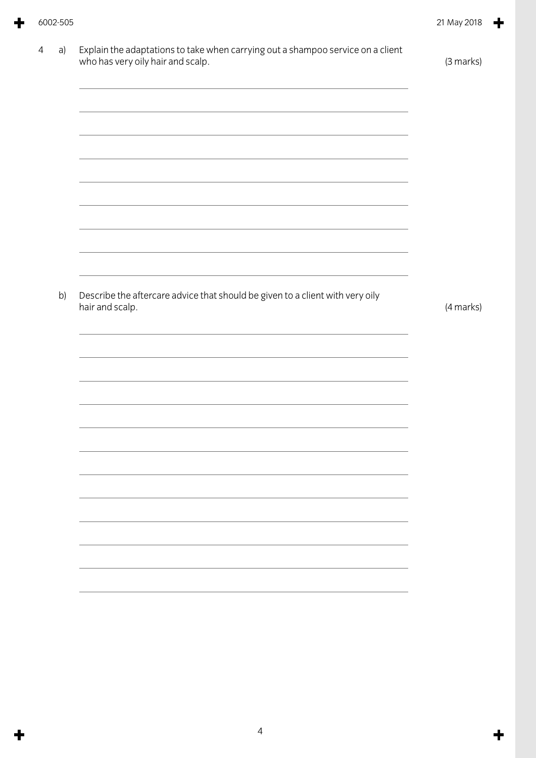۳

| 4 | a) | Explain the adaptations to take when carrying out a shampoo service on a client<br>who has very oily hair and scalp. | (3 marks) |
|---|----|----------------------------------------------------------------------------------------------------------------------|-----------|
|   |    |                                                                                                                      |           |
|   |    |                                                                                                                      |           |
|   |    | the contract of the contract of the contract of the contract of the contract of the contract of the contract of      |           |
|   | b) | Describe the aftercare advice that should be given to a client with very oily<br>hair and scalp.                     | (4 marks) |
|   |    |                                                                                                                      |           |
|   |    |                                                                                                                      |           |
|   |    |                                                                                                                      |           |
|   |    |                                                                                                                      |           |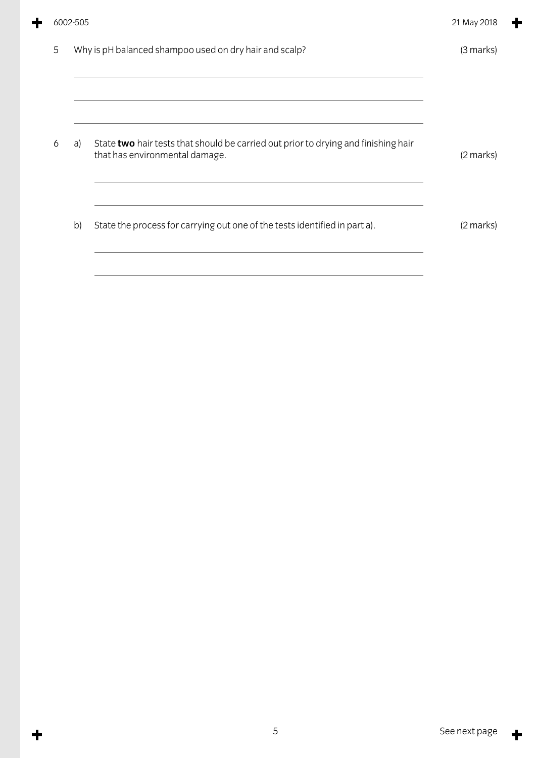|   | 6002-505 |                                                                                                                      | 21 May 2018 |
|---|----------|----------------------------------------------------------------------------------------------------------------------|-------------|
| 5 |          | Why is pH balanced shampoo used on dry hair and scalp?                                                               | (3 marks)   |
| 6 | a)       | State two hair tests that should be carried out prior to drying and finishing hair<br>that has environmental damage. | (2 marks)   |
|   | b)       | State the process for carrying out one of the tests identified in part a).                                           | (2 marks)   |

÷

 $\ddagger$ 

 $\ddagger$ 

 $\div$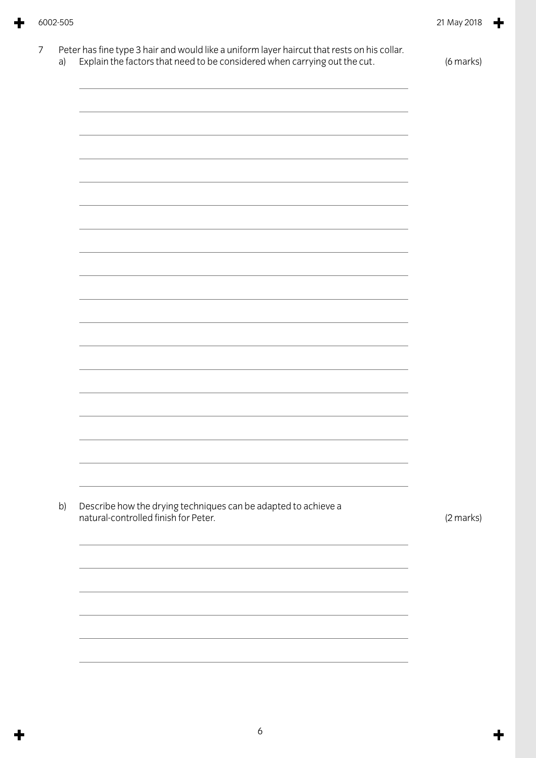|    | Explain the factors that need to be considered when carrying out the cut.                              | (6 marks) |
|----|--------------------------------------------------------------------------------------------------------|-----------|
|    |                                                                                                        |           |
|    |                                                                                                        |           |
|    |                                                                                                        |           |
|    |                                                                                                        |           |
|    |                                                                                                        |           |
|    |                                                                                                        |           |
|    |                                                                                                        |           |
|    |                                                                                                        |           |
|    |                                                                                                        |           |
|    |                                                                                                        |           |
|    |                                                                                                        |           |
|    |                                                                                                        |           |
|    |                                                                                                        |           |
|    |                                                                                                        |           |
|    |                                                                                                        |           |
|    |                                                                                                        |           |
|    |                                                                                                        |           |
|    |                                                                                                        |           |
|    |                                                                                                        |           |
|    |                                                                                                        |           |
|    |                                                                                                        |           |
|    |                                                                                                        |           |
|    |                                                                                                        |           |
|    |                                                                                                        |           |
|    |                                                                                                        |           |
| b) | Describe how the drying techniques can be adapted to achieve a<br>natural-controlled finish for Peter. | (2 marks) |
|    |                                                                                                        |           |
|    |                                                                                                        |           |
|    |                                                                                                        |           |
|    |                                                                                                        |           |
|    |                                                                                                        |           |
|    |                                                                                                        |           |
|    |                                                                                                        |           |
|    |                                                                                                        |           |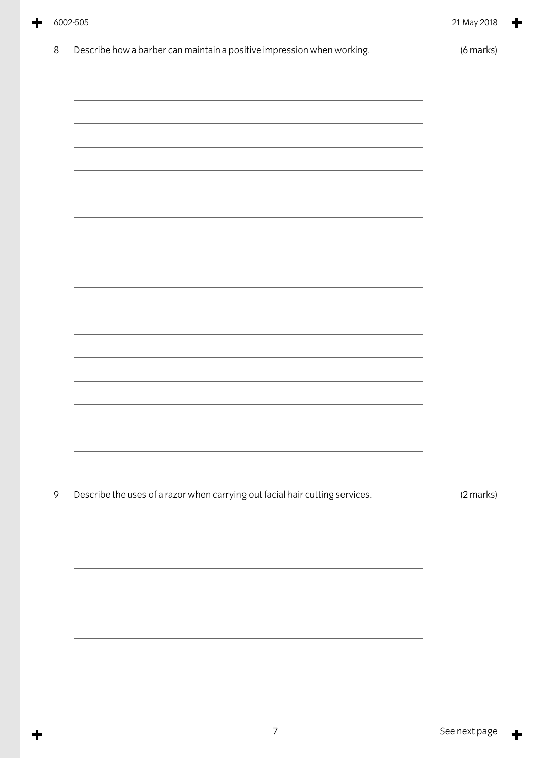$\ddagger$ 

╋

| $8\,$ | Describe how a barber can maintain a positive impression when working.       | (6 marks) |
|-------|------------------------------------------------------------------------------|-----------|
|       |                                                                              |           |
|       |                                                                              |           |
|       |                                                                              |           |
|       |                                                                              |           |
|       |                                                                              |           |
|       |                                                                              |           |
|       |                                                                              |           |
|       |                                                                              |           |
|       |                                                                              |           |
|       |                                                                              |           |
|       |                                                                              |           |
|       |                                                                              |           |
|       |                                                                              |           |
| 9     | Describe the uses of a razor when carrying out facial hair cutting services. | (2 marks) |
|       |                                                                              |           |
|       |                                                                              |           |
|       |                                                                              |           |
|       |                                                                              |           |
|       |                                                                              |           |

 $\ddagger$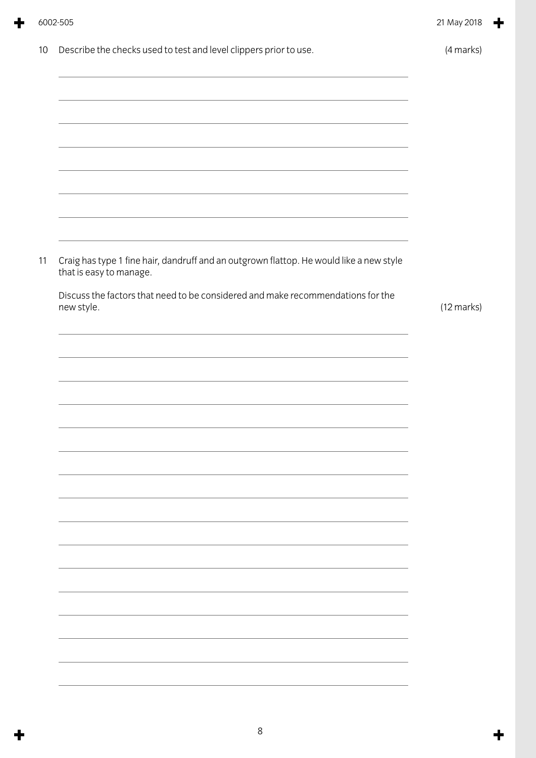|    | 6002-505                                                                                                                                                                              | 21 May 2018          |
|----|---------------------------------------------------------------------------------------------------------------------------------------------------------------------------------------|----------------------|
| 10 | Describe the checks used to test and level clippers prior to use.<br>and the control of the control of the control of the control of the control of the control of the control of the | (4 marks)            |
|    |                                                                                                                                                                                       |                      |
|    | and the control of the control of the control of the control of the control of the control of the control of the                                                                      |                      |
|    |                                                                                                                                                                                       |                      |
|    | <u> 1989 - Johann Stoff, amerikansk politiker (d. 1989)</u>                                                                                                                           |                      |
| 11 | Craig has type 1 fine hair, dandruff and an outgrown flattop. He would like a new style<br>that is easy to manage.                                                                    |                      |
|    | Discuss the factors that need to be considered and make recommendations for the<br>new style.                                                                                         | $(12 \text{ marks})$ |
|    | <u> 1989 - Johann Stoff, amerikansk politiker (d. 1989)</u>                                                                                                                           |                      |
|    |                                                                                                                                                                                       |                      |
|    |                                                                                                                                                                                       |                      |
|    |                                                                                                                                                                                       |                      |
|    |                                                                                                                                                                                       |                      |
|    |                                                                                                                                                                                       |                      |
|    |                                                                                                                                                                                       |                      |
|    |                                                                                                                                                                                       |                      |
|    |                                                                                                                                                                                       |                      |

۳